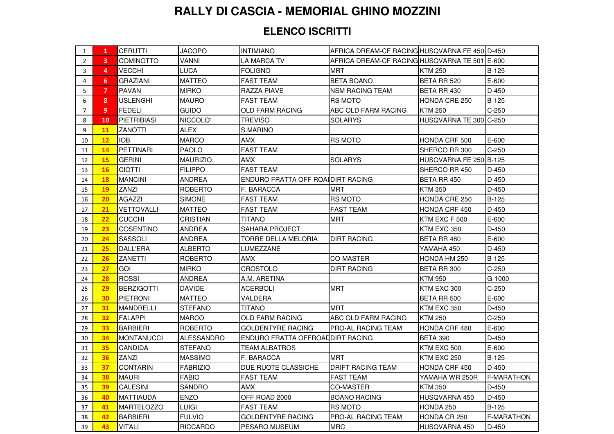## **RALLY DI CASCIA - MEMORIAL GHINO MOZZINI**

## **ELENCO ISCRITTI**

| 1              | 1         | <b>CERUTTI</b>     | <b>JACOPO</b>     | <b>INTIMIANO</b>                  | AFRICA DREAM-CF RACING HUSQVARNA FE 450 D-450 |                        |                   |
|----------------|-----------|--------------------|-------------------|-----------------------------------|-----------------------------------------------|------------------------|-------------------|
| 2              | 3         | COMINOTTO          | <b>VANNI</b>      | LA MARCA TV                       | AFRICA DREAM-CF RACING HUSQVARNA TE 501 E-600 |                        |                   |
| 3              | 4         | VECCHI             | <b>LUCA</b>       | <b>FOLIGNO</b>                    | <b>MRT</b>                                    | <b>KTM 250</b>         | <b>B-125</b>      |
| 4              | 6         | GRAZIANI           | MATTEO            | FAST TEAM                         | <b>BETA BOANO</b>                             | BETA RR 520            | $E - 600$         |
| 5              | 7         | <b>PAVAN</b>       | <b>MIRKO</b>      | <b>RAZZA PIAVE</b>                | <b>NSM RACING TEAM</b>                        | BETA RR 430            | $D-450$           |
| 6              | 8         | <b>USLENGHI</b>    | <b>MAURO</b>      | <b>FAST TEAM</b>                  | <b>RS MOTO</b>                                | HONDA CRE 250          | $B-125$           |
| $\overline{7}$ | 9         | <b>FEDELI</b>      | <b>GUIDO</b>      | OLD FARM RACING                   | ABC OLD FARM RACING                           | <b>KTM 250</b>         | $C-250$           |
| 8              | 10        | <b>PIETRIBIASI</b> | NICCOLO'          | <b>TREVISO</b>                    | <b>SOLARYS</b>                                | HUSQVARNA TE 300 C-250 |                   |
| 9              | <b>11</b> | <b>ZANOTTI</b>     | ALEX              | S.MARINO                          |                                               |                        |                   |
| 10             | 12        | <b>IOB</b>         | <b>MARCO</b>      | AMX                               | <b>RS MOTO</b>                                | HONDA CRF 500          | E-600             |
| 11             | 14        | <b>PETTINARI</b>   | <b>PAOLO</b>      | <b>FAST TEAM</b>                  |                                               | SHERCO RR 300          | $C-250$           |
| 12             | 15        | <b>GERINI</b>      | MAURIZIO          | AMX                               | <b>SOLARYS</b>                                | HUSQVARNA FE 250 B-125 |                   |
| 13             | <b>16</b> | <b>CIOTTI</b>      | <b>FILIPPO</b>    | <b>FAST TEAM</b>                  |                                               | SHERCO RR 450          | D-450             |
| 14             | <b>18</b> | <b>MANCINI</b>     | <b>ANDREA</b>     | ENDURO FRATTA OFF ROAIDIRT RACING |                                               | BETA RR 450            | D-450             |
| 15             | <b>19</b> | ZANZI              | <b>ROBERTO</b>    | F. BARACCA                        | <b>MRT</b>                                    | <b>KTM 350</b>         | D-450             |
| 16             | 20        | <b>AGAZZI</b>      | <b>SIMONE</b>     | <b>FAST TEAM</b>                  | <b>RS MOTO</b>                                | HONDA CRE 250          | $B-125$           |
| 17             | 21        | <b>VETTOVALLI</b>  | <b>MATTEO</b>     | <b>FAST TEAM</b>                  | <b>FAST TEAM</b>                              | HONDA CRF 450          | D-450             |
| 18             | 22        | <b>CUCCHI</b>      | <b>CRISTIAN</b>   | TITANO                            | <b>MRT</b>                                    | KTM EXC F 500          | E-600             |
| 19             | 23        | <b>COSENTINO</b>   | <b>ANDREA</b>     | <b>SAHARA PROJECT</b>             |                                               | KTM EXC 350            | $D-450$           |
| 20             | 24        | <b>SASSOLI</b>     | <b>ANDREA</b>     | <b>TORRE DELLA MELORIA</b>        | <b>DIRT RACING</b>                            | BETA RR 480            | E-600             |
| 21             | 25        | <b>DALL'ERA</b>    | <b>ALBERTO</b>    | LUMEZZANE                         |                                               | YAMAHA 450             | $D-450$           |
| 22             | 26        | ZANETTI            | <b>ROBERTO</b>    | <b>AMX</b>                        | <b>CO-MASTER</b>                              | HONDA HM 250           | B-125             |
| 23             | 27        | GOI                | <b>MIRKO</b>      | CROSTOLO                          | <b>DIRT RACING</b>                            | BETA RR 300            | $C-250$           |
| 24             | 28        | <b>ROSSI</b>       | <b>ANDREA</b>     | A.M. ARETINA                      |                                               | <b>KTM 950</b>         | G-1000            |
| 25             | 29        | <b>BERZIGOTTI</b>  | <b>DAVIDE</b>     | <b>ACERBOLI</b>                   | <b>MRT</b>                                    | KTM EXC 300            | $C-250$           |
| 26             | 30        | <b>PIETRONI</b>    | <b>MATTEO</b>     | VALDERA                           |                                               | <b>BETA RR 500</b>     | $E-600$           |
| 27             | 31        | <b>MANDRELLI</b>   | <b>STEFANO</b>    | TITANO                            | MRT                                           | KTM EXC 350            | $D-450$           |
| 28             | 32        | <b>FALAPPI</b>     | <b>MARCO</b>      | <b>OLD FARM RACING</b>            | ABC OLD FARM RACING                           | <b>KTM 250</b>         | $C-250$           |
| 29             | 33        | <b>BARBIERI</b>    | <b>ROBERTO</b>    | <b>GOLDENTYRE RACING</b>          | PRO-AL RACING TEAM                            | HONDA CRF 480          | E-600             |
| 30             | 34        | <b>MONTANUCCI</b>  | <b>ALESSANDRO</b> | ENDURO FRATTA OFFROADDIRT RACING  |                                               | <b>BETA 390</b>        | D-450             |
| 31             | 35        | <b>CANDIDA</b>     | <b>STEFANO</b>    | <b>TEAM ALBATROS</b>              |                                               | KTM EXC 500            | E-600             |
| 32             | 36        | <b>ZANZI</b>       | <b>MASSIMO</b>    | F. BARACCA                        | <b>MRT</b>                                    | KTM EXC 250            | $B-125$           |
| 33             | 37        | <b>CONTARIN</b>    | <b>FABRIZIO</b>   | DUE RUOTE CLASSICHE               | DRIFT RACING TEAM                             | HONDA CRF 450          | $D-450$           |
| 34             | 38        | <b>MAURI</b>       | <b>FABIO</b>      | <b>FAST TEAM</b>                  | <b>FAST TEAM</b>                              | YAMAHA WR 250R         | <b>F-MARATHON</b> |
| 35             | 39        | <b>CALESINI</b>    | <b>SANDRO</b>     | <b>AMX</b>                        | <b>CO-MASTER</b>                              | <b>KTM 350</b>         | D-450             |
| 36             | 40        | <b>MATTIAUDA</b>   | <b>ENZO</b>       | OFF ROAD 2000                     | <b>BOANO RACING</b>                           | HUSQVARNA 450          | D-450             |
| 37             | 41        | <b>MARTELOZZO</b>  | <b>LUIGI</b>      | <b>FAST TEAM</b>                  | <b>RS MOTO</b>                                | HONDA 250              | $B-125$           |
| 38             | 42        | <b>BARBIERI</b>    | <b>FULVIO</b>     | GOLDENTYRE RACING                 | PRO-AL RACING TEAM                            | HONDA CR 250           | <b>F-MARATHON</b> |
| 39             | 43        | <b>VITALI</b>      | <b>RICCARDO</b>   | PESARO MUSEUM                     | <b>MRC</b>                                    | HUSQVARNA 450          | D-450             |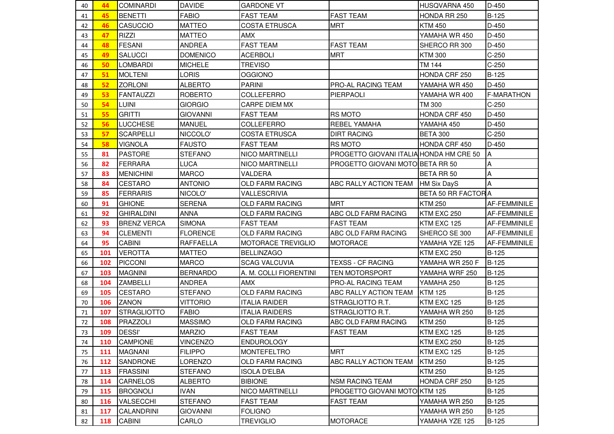| 40 | 44  | <b>COMINARDI</b>   | <b>DAVIDE</b>   | <b>GARDONE VT</b>         |                                         | HUSQVARNA 450       | D-450             |
|----|-----|--------------------|-----------------|---------------------------|-----------------------------------------|---------------------|-------------------|
| 41 | 45  | <b>BENETTI</b>     | <b>FABIO</b>    | <b>FAST TEAM</b>          | <b>FAST TEAM</b>                        | HONDA RR 250        | B-125             |
| 42 | 46  | <b>CASUCCIO</b>    | <b>MATTEO</b>   | <b>COSTA ETRUSCA</b>      | <b>MRT</b>                              | <b>KTM 450</b>      | $D-450$           |
| 43 | 47  | <b>RIZZI</b>       | <b>MATTEO</b>   | <b>AMX</b>                |                                         | YAMAHA WR 450       | D-450             |
| 44 | 48  | <b>FESANI</b>      | <b>ANDREA</b>   | <b>FAST TEAM</b>          | <b>FAST TEAM</b>                        | SHERCO RR 300       | $D-450$           |
| 45 | 49  | <b>SALUCCI</b>     | <b>DOMENICO</b> | <b>ACERBOLI</b>           | <b>MRT</b>                              | <b>KTM 300</b>      | $C-250$           |
| 46 | 50  | <b>LOMBARDI</b>    | <b>MICHELE</b>  | <b>TREVISO</b>            |                                         | TM 144              | $C-250$           |
| 47 | 51  | <b>MOLTENI</b>     | LORIS           | <b>OGGIONO</b>            |                                         | HONDA CRF 250       | B-125             |
| 48 | 52  | <b>ZORLONI</b>     | <b>ALBERTO</b>  | <b>PARINI</b>             | PRO-AL RACING TEAM                      | YAMAHA WR 450       | $D-450$           |
| 49 | 53  | <b>FANTAUZZI</b>   | <b>ROBERTO</b>  | <b>COLLEFERRO</b>         | PIERPAOLI                               | YAMAHA WR 400       | <b>F-MARATHON</b> |
| 50 | 54  | <b>LUINI</b>       | <b>GIORGIO</b>  | <b>CARPE DIEM MX</b>      |                                         | TM 300              | $C-250$           |
| 51 | 55  | <b>GRITTI</b>      | <b>GIOVANNI</b> | <b>FAST TEAM</b>          | <b>RS MOTO</b>                          | HONDA CRF 450       | D-450             |
| 52 | 56  | <b>LUCCHESE</b>    | <b>MANUEL</b>   | COLLEFERRO                | REBEL YAMAHA                            | YAMAHA 450          | D-450             |
| 53 | 57  | <b>SCARPELLI</b>   | NICCOLO'        | <b>COSTA ETRUSCA</b>      | <b>DIRT RACING</b>                      | <b>BETA 300</b>     | $C-250$           |
| 54 | 58  | <b>VIGNOLA</b>     | <b>FAUSTO</b>   | <b>FAST TEAM</b>          | <b>RS MOTO</b>                          | HONDA CRF 450       | D-450             |
| 55 | 81  | <b>PASTORE</b>     | <b>STEFANO</b>  | <b>NICO MARTINELLI</b>    | PROGETTO GIOVANI ITALIA HONDA HM CRE 50 |                     | A                 |
| 56 | 82  | <b>FERRARA</b>     | <b>LUCA</b>     | <b>NICO MARTINELLI</b>    | PROGETTO GIOVANI MOTOIBETA RR 50        |                     | Α                 |
| 57 | 83  | <b>MENICHINI</b>   | <b>MARCO</b>    | VALDERA                   |                                         | BETA RR 50          | Α                 |
| 58 | 84  | <b>CESTARO</b>     | <b>ANTONIO</b>  | <b>OLD FARM RACING</b>    | ABC RALLY ACTION TEAM                   | <b>HM Six DayS</b>  | A                 |
| 59 | 85  | <b>FERRARIS</b>    | NICOLO'         | VALLESCRIVIA              |                                         | BETA 50 RR FACTOR A |                   |
| 60 | 91  | <b>GHIONE</b>      | <b>SERENA</b>   | <b>OLD FARM RACING</b>    | <b>MRT</b>                              | <b>KTM 250</b>      | AF-FEMMINILE      |
| 61 | 92  | <b>GHIRALDINI</b>  | ANNA            | <b>OLD FARM RACING</b>    | ABC OLD FARM RACING                     | KTM EXC 250         | AF-FEMMINILE      |
| 62 | 93  | <b>BRENZ VERCA</b> | <b>SIMONA</b>   | <b>FAST TEAM</b>          | <b>FAST TEAM</b>                        | KTM EXC 125         | AF-FEMMINILE      |
| 63 | 94  | <b>CLEMENTI</b>    | <b>FLORENCE</b> | <b>OLD FARM RACING</b>    | ABC OLD FARM RACING                     | SHERCO SE 300       | AF-FEMMINILE      |
| 64 | 95  | <b>CABINI</b>      | RAFFAELLA       | <b>MOTORACE TREVIGLIO</b> | <b>MOTORACE</b>                         | YAMAHA YZE 125      | AF-FEMMINILE      |
| 65 | 101 | <b>VEROTTA</b>     | <b>MATTEO</b>   | <b>BELLINZAGO</b>         |                                         | KTM EXC 250         | B-125             |
| 66 | 102 | <b>PICCONI</b>     | <b>MARCO</b>    | <b>SCAG VALCUVIA</b>      | <b>TEXSS - CF RACING</b>                | YAMAHA WR 250 F     | B-125             |
| 67 | 103 | <b>MAGNINI</b>     | <b>BERNARDO</b> | A. M. COLLI FIORENTINI    | <b>TEN MOTORSPORT</b>                   | YAMAHA WRF 250      | $B-125$           |
| 68 | 104 | <b>ZAMBELLI</b>    | <b>ANDREA</b>   | <b>AMX</b>                | PRO-AL RACING TEAM                      | YAMAHA 250          | B-125             |
| 69 | 105 | <b>CESTARO</b>     | <b>STEFANO</b>  | <b>OLD FARM RACING</b>    | ABC RALLY ACTION TEAM                   | <b>KTM 125</b>      | $B-125$           |
| 70 | 106 | <b>ZANON</b>       | <b>VITTORIO</b> | <b>ITALIA RAIDER</b>      | STRAGLIOTTO R.T.                        | KTM EXC 125         | <b>B-125</b>      |
| 71 | 107 | <b>STRAGLIOTTO</b> | <b>FABIO</b>    | <b>ITALIA RAIDERS</b>     | STRAGLIOTTO R.T.                        | YAMAHA WR 250       | $B-125$           |
| 72 | 108 | PRAZZOLI           | <b>MASSIMO</b>  | <b>OLD FARM RACING</b>    | ABC OLD FARM RACING                     | <b>KTM 250</b>      | <b>B-125</b>      |
| 73 | 109 | DESSI'             | <b>MARZIO</b>   | <b>FAST TEAM</b>          | <b>FAST TEAM</b>                        | KTM EXC 125         | <b>B-125</b>      |
| 74 | 110 | <b>CAMPIONE</b>    | <b>VINCENZO</b> | <b>ENDUROLOGY</b>         |                                         | KTM EXC 250         | $B-125$           |
| 75 | 111 | <b>MAGNANI</b>     | <b>FILIPPO</b>  | <b>MONTEFELTRO</b>        | <b>MRT</b>                              | KTM EXC 125         | $B-125$           |
| 76 | 112 | <b>SANDRONE</b>    | LORENZO         | <b>OLD FARM RACING</b>    | ABC RALLY ACTION TEAM                   | <b>KTM 250</b>      | $B-125$           |
| 77 | 113 | <b>FRASSINI</b>    | <b>STEFANO</b>  | <b>ISOLA D'ELBA</b>       |                                         | <b>KTM 250</b>      | $B-125$           |
| 78 | 114 | <b>CARNELOS</b>    | <b>ALBERTO</b>  | <b>BIBIONE</b>            | <b>NSM RACING TEAM</b>                  | HONDA CRF 250       | B-125             |
| 79 | 115 | <b>BROGNOLI</b>    | <b>IVAN</b>     | NICO MARTINELLI           | PROGETTO GIOVANI MOTOIKTM 125           |                     | $B-125$           |
| 80 | 116 | <b>VALSECCHI</b>   | <b>STEFANO</b>  | <b>FAST TEAM</b>          | <b>FAST TEAM</b>                        | YAMAHA WR 250       | <b>B-125</b>      |
| 81 | 117 | <b>CALANDRINI</b>  | <b>GIOVANNI</b> | <b>FOLIGNO</b>            |                                         | YAMAHA WR 250       | $B-125$           |
| 82 | 118 | <b>CABINI</b>      | CARLO           | <b>TREVIGLIO</b>          | <b>MOTORACE</b>                         | YAMAHA YZE 125      | B-125             |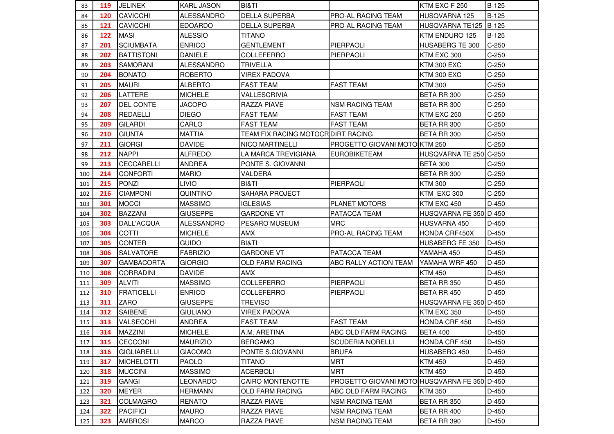| 83  | 119 | <b>JELINEK</b>     | <b>KARL JASON</b> | <b>BI&amp;TI</b>                   |                                              | KTM EXC-F 250          | B-125        |
|-----|-----|--------------------|-------------------|------------------------------------|----------------------------------------------|------------------------|--------------|
| 84  | 120 | CAVICCHI           | <b>ALESSANDRO</b> | <b>DELLA SUPERBA</b>               | PRO-AL RACING TEAM                           | HUSQVARNA 125          | <b>B-125</b> |
| 85  | 121 | <b>CAVICCHI</b>    | <b>EDOARDO</b>    | <b>DELLA SUPERBA</b>               | PRO-AL RACING TEAM                           | HUSQVARNA TE125        | $B-125$      |
| 86  | 122 | <b>MASI</b>        | <b>ALESSIO</b>    | <b>TITANO</b>                      |                                              | KTM ENDURO 125         | <b>B-125</b> |
| 87  | 201 | <b>SCIUMBATA</b>   | <b>ENRICO</b>     | <b>GENTLEMENT</b>                  | PIERPAOLI                                    | HUSABERG TE 300        | $C-250$      |
| 88  | 202 | <b>BATTISTONI</b>  | <b>DANIELE</b>    | <b>COLLEFERRO</b>                  | PIERPAOLI                                    | KTM EXC 300            | $C-250$      |
| 89  | 203 | <b>SAMORANI</b>    | <b>ALESSANDRO</b> | <b>TRIVELLA</b>                    |                                              | <b>KTM 300 EXC</b>     | $C-250$      |
| 90  | 204 | <b>BONATO</b>      | <b>ROBERTO</b>    | VIREX PADOVA                       |                                              | KTM 300 EXC            | $C-250$      |
| 91  | 205 | <b>MAURI</b>       | <b>ALBERTO</b>    | <b>FAST TEAM</b>                   | <b>FAST TEAM</b>                             | <b>KTM 300</b>         | $C-250$      |
| 92  | 206 | LATTERE            | <b>MICHELE</b>    | VALLESCRIVIA                       |                                              | BETA RR 300            | $C-250$      |
| 93  | 207 | <b>DEL CONTE</b>   | <b>JACOPO</b>     | <b>RAZZA PIAVE</b>                 | <b>NSM RACING TEAM</b>                       | BETA RR 300            | $C-250$      |
| 94  | 208 | <b>REDAELLI</b>    | <b>DIEGO</b>      | <b>FAST TEAM</b>                   | <b>FAST TEAM</b>                             | KTM EXC 250            | $C-250$      |
| 95  | 209 | <b>GILARDI</b>     | CARLO             | <b>FAST TEAM</b>                   | <b>FAST TEAM</b>                             | BETA RR 300            | $C-250$      |
| 96  | 210 | <b>GIUNTA</b>      | <b>MATTIA</b>     | TEAM FIX RACING MOTOCR DIRT RACING |                                              | BETA RR 300            | $C-250$      |
| 97  | 211 | <b>GIORGI</b>      | <b>DAVIDE</b>     | <b>NICO MARTINELLI</b>             | PROGETTO GIOVANI MOTOIKTM 250                |                        | $C-250$      |
| 98  | 212 | <b>NAPPI</b>       | <b>ALFREDO</b>    | LA MARCA TREVIGIANA                | <b>EUROBIKETEAM</b>                          | HUSQVARNA TE 250 C-250 |              |
| 99  | 213 | CECCARELLI         | <b>ANDREA</b>     | PONTE S. GIOVANNI                  |                                              | <b>BETA 300</b>        | $C-250$      |
| 100 | 214 | <b>CONFORTI</b>    | <b>MARIO</b>      | VALDERA                            |                                              | BETA RR 300            | $C-250$      |
| 101 | 215 | <b>PONZI</b>       | <b>LIVIO</b>      | BI&TI                              | PIERPAOLI                                    | <b>KTM 300</b>         | $C-250$      |
| 102 | 216 | <b>CIAMPONI</b>    | <b>QUINTINO</b>   | <b>SAHARA PROJECT</b>              |                                              | KTM EXC 300            | $C-250$      |
| 103 | 301 | <b>MOCCI</b>       | <b>MASSIMO</b>    | <b>IGLESIAS</b>                    | <b>PLANET MOTORS</b>                         | KTM EXC 450            | $D-450$      |
| 104 | 302 | <b>BAZZANI</b>     | <b>GIUSEPPE</b>   | <b>GARDONE VT</b>                  | <b>PATACCA TEAM</b>                          | HUSQVARNA FE 350 D-450 |              |
| 105 | 303 | DALL'ACQUA         | <b>ALESSANDRO</b> | PESARO MUSEUM                      | <b>MRC</b>                                   | HUSVARNA 450           | D-450        |
| 106 | 304 | <b>COTTI</b>       | <b>MICHELE</b>    | <b>AMX</b>                         | PRO-AL RACING TEAM                           | HONDA CRF450X          | $D-450$      |
| 107 | 305 | <b>CONTER</b>      | <b>GUIDO</b>      | BI&TI                              |                                              | HUSABERG FE 350        | $D-450$      |
| 108 | 306 | <b>SALVATORE</b>   | <b>FABRIZIO</b>   | <b>GARDONE VT</b>                  | PATACCA TEAM                                 | YAMAHA 450             | D-450        |
| 109 | 307 | <b>GAMBACORTA</b>  | <b>GIORGIO</b>    | <b>OLD FARM RACING</b>             | ABC RALLY ACTION TEAM                        | YAMAHA WRF 450         | D-450        |
| 110 | 308 | <b>CORRADINI</b>   | <b>DAVIDE</b>     | <b>AMX</b>                         |                                              | <b>KTM 450</b>         | D-450        |
| 111 | 309 | <b>ALVITI</b>      | <b>MASSIMO</b>    | COLLEFERRO                         | PIERPAOLI                                    | BETA RR 350            | D-450        |
| 112 | 310 | <b>FRATICELLI</b>  | <b>ENRICO</b>     | <b>COLLEFERRO</b>                  | PIERPAOLI                                    | BETA RR 450            | $D-450$      |
| 113 | 311 | ZARO               | <b>GIUSEPPE</b>   | <b>TREVISO</b>                     |                                              | HUSQVARNA FE 350 D-450 |              |
| 114 | 312 | <b>SAIBENE</b>     | <b>GIULIANO</b>   | <b>VIREX PADOVA</b>                |                                              | KTM EXC 350            | D-450        |
| 115 | 313 | <b>VALSECCHI</b>   | <b>ANDREA</b>     | <b>FAST TEAM</b>                   | <b>FAST TEAM</b>                             | HONDA CRF 450          | D-450        |
| 116 | 314 | <b>MAZZINI</b>     | <b>MICHELE</b>    | A.M. ARETINA                       | ABC OLD FARM RACING                          | <b>BETA 400</b>        | $D-450$      |
| 117 | 315 | <b>CECCONI</b>     | <b>MAURIZIO</b>   | <b>BERGAMO</b>                     | <b>SCUDERIA NORELLI</b>                      | HONDA CRF 450          | D-450        |
| 118 | 316 | <b>GIGLIARELLI</b> | <b>GIACOMO</b>    | PONTE S.GIOVANNI                   | <b>BRUFA</b>                                 | HUSABERG 450           | D-450        |
| 119 | 317 | <b>MICHELOTTI</b>  | <b>PAOLO</b>      | <b>TITANO</b>                      | <b>MRT</b>                                   | <b>KTM 450</b>         | D-450        |
| 120 | 318 | <b>MUCCINI</b>     | <b>MASSIMO</b>    | <b>ACERBOLI</b>                    | <b>MRT</b>                                   | <b>KTM 450</b>         | D-450        |
| 121 | 319 | GANGI              | LEONARDO          | CAIRO MONTENOTTE                   | PROGETTO GIOVANI MOTO HUSQVARNA FE 350 D-450 |                        |              |
| 122 | 320 | <b>MEYER</b>       | <b>HERMANN</b>    | <b>OLD FARM RACING</b>             | ABC OLD FARM RACING                          | <b>KTM 350</b>         | D-450        |
| 123 | 321 | <b>COLMAGRO</b>    | RENATO            | RAZZA PIAVE                        | <b>NSM RACING TEAM</b>                       | BETA RR 350            | D-450        |
| 124 | 322 | <b>PACIFICI</b>    | <b>MAURO</b>      | <b>RAZZA PIAVE</b>                 | <b>NSM RACING TEAM</b>                       | BETA RR 400            | D-450        |
| 125 | 323 | <b>AMBROSI</b>     | <b>MARCO</b>      | RAZZA PIAVE                        | <b>NSM RACING TEAM</b>                       | BETA RR 390            | D-450        |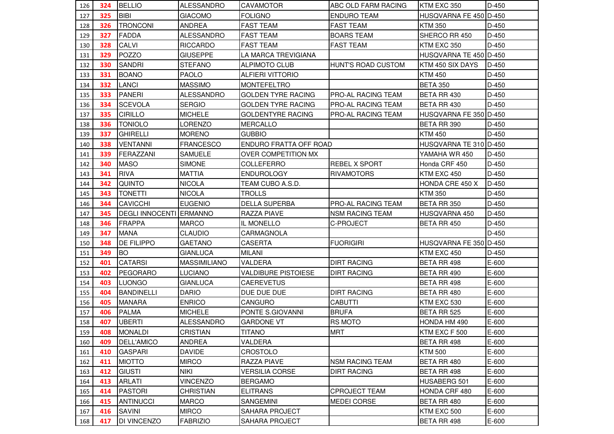| 126 | 324 | <b>BELLIO</b>                  | <b>ALESSANDRO</b>   | <b>CAVAMOTOR</b>           | IABC OLD FARM RACING      | KTM EXC 350            | $D-450$ |
|-----|-----|--------------------------------|---------------------|----------------------------|---------------------------|------------------------|---------|
| 127 | 325 | <b>BIBI</b>                    | <b>GIACOMO</b>      | <b>FOLIGNO</b>             | <b>ENDURO TEAM</b>        | HUSQVARNA FE 450 D-450 |         |
| 128 | 326 | <b>TRONCONI</b>                | <b>ANDREA</b>       | <b>FAST TEAM</b>           | <b>FAST TEAM</b>          | <b>KTM 350</b>         | $D-450$ |
| 129 | 327 | <b>FADDA</b>                   | <b>ALESSANDRO</b>   | <b>FAST TEAM</b>           | <b>BOARS TEAM</b>         | SHERCO RR 450          | $D-450$ |
| 130 | 328 | <b>CALVI</b>                   | <b>RICCARDO</b>     | <b>FAST TEAM</b>           | <b>FAST TEAM</b>          | KTM EXC 350            | $D-450$ |
| 131 | 329 | POZZO                          | <b>GIUSEPPE</b>     | LA MARCA TREVIGIANA        |                           | HUSQVARNA TE 450 D-450 |         |
| 132 | 330 | <b>SANDRI</b>                  | <b>STEFANO</b>      | <b>ALPIMOTO CLUB</b>       | HUNT'S ROAD CUSTOM        | KTM 450 SIX DAYS       | D-450   |
| 133 | 331 | <b>BOANO</b>                   | PAOLO               | <b>ALFIERI VITTORIO</b>    |                           | <b>KTM 450</b>         | D-450   |
| 134 | 332 | <b>LANCI</b>                   | <b>MASSIMO</b>      | <b>MONTEFELTRO</b>         |                           | <b>BETA 350</b>        | $D-450$ |
| 135 | 333 | <b>PANERI</b>                  | <b>ALESSANDRO</b>   | <b>GOLDEN TYRE RACING</b>  | PRO-AL RACING TEAM        | BETA RR 430            | D-450   |
| 136 | 334 | <b>SCEVOLA</b>                 | <b>SERGIO</b>       | <b>GOLDEN TYRE RACING</b>  | PRO-AL RACING TEAM        | BETA RR 430            | $D-450$ |
| 137 | 335 | <b>CIRILLO</b>                 | <b>MICHELE</b>      | <b>GOLDENTYRE RACING</b>   | PRO-AL RACING TEAM        | HUSQVARNA FE 350 D-450 |         |
| 138 | 336 | <b>TONIOLO</b>                 | LORENZO             | <b>MERCALLO</b>            |                           | BETA RR 390            | $D-450$ |
| 139 | 337 | <b>GHIRELLI</b>                | <b>MORENO</b>       | <b>GUBBIO</b>              |                           | <b>KTM 450</b>         | $D-450$ |
| 140 | 338 | <b>VENTANNI</b>                | <b>FRANCESCO</b>    | ENDURO FRATTA OFF ROAD     |                           | HUSQVARNA TE 310 D-450 |         |
| 141 | 339 | FERAZZANI                      | <b>SAMUELE</b>      | OVER COMPETITION MX        |                           | YAMAHA WR 450          | D-450   |
| 142 | 340 | <b>MASO</b>                    | <b>SIMONE</b>       | COLLEFERRO                 | <b>REBEL X SPORT</b>      | Honda CRF 450          | $D-450$ |
| 143 | 341 | <b>RIVA</b>                    | <b>MATTIA</b>       | <b>ENDUROLOGY</b>          | <b>RIVAMOTORS</b>         | KTM EXC 450            | $D-450$ |
| 144 | 342 | <b>QUINTO</b>                  | <b>NICOLA</b>       | TEAM CUBO A.S.D.           |                           | HONDA CRE 450 X        | $D-450$ |
| 145 | 343 | <b>TONETTI</b>                 | <b>NICOLA</b>       | <b>TROLLS</b>              |                           | <b>KTM 350</b>         | $D-450$ |
| 146 | 344 | <b>CAVICCHI</b>                | <b>EUGENIO</b>      | <b>DELLA SUPERBA</b>       | <b>PRO-AL RACING TEAM</b> | BETA RR 350            | $D-450$ |
| 147 | 345 | <b>DEGLI INNOCENTI ERMANNO</b> |                     | <b>RAZZA PIAVE</b>         | <b>NSM RACING TEAM</b>    | HUSQVARNA 450          | D-450   |
| 148 | 346 | <b>FRAPPA</b>                  | <b>MARCO</b>        | IL MONELLO                 | C-PROJECT                 | BETA RR 450            | $D-450$ |
| 149 | 347 | <b>MANA</b>                    | <b>CLAUDIO</b>      | CARMAGNOLA                 |                           |                        | $D-450$ |
| 150 | 348 | <b>DE FILIPPO</b>              | <b>GAETANO</b>      | <b>CASERTA</b>             | <b>FUORIGIRI</b>          | HUSQVARNA FE 350 D-450 |         |
| 151 | 349 | <b>BO</b>                      | <b>GIANLUCA</b>     | <b>MILANI</b>              |                           | KTM EXC 450            | D-450   |
| 152 | 401 | <b>CATARSI</b>                 | <b>MASSIMILIANO</b> | VALDERA                    | <b>DIRT RACING</b>        | BETA RR 498            | E-600   |
| 153 | 402 | <b>PEGORARO</b>                | <b>LUCIANO</b>      | <b>VALDIBURE PISTOIESE</b> | <b>DIRT RACING</b>        | BETA RR 490            | E-600   |
| 154 | 403 | LUONGO                         | <b>GIANLUCA</b>     | <b>CAEREVETUS</b>          |                           | BETA RR 498            | E-600   |
| 155 | 404 | <b>BANDINELLI</b>              | <b>DARIO</b>        | DUE DUE DUE                | <b>DIRT RACING</b>        | BETA RR 480            | E-600   |
| 156 | 405 | <b>MANARA</b>                  | <b>ENRICO</b>       | CANGURO                    | <b>CABUTTI</b>            | KTM EXC 530            | E-600   |
| 157 | 406 | <b>PALMA</b>                   | <b>MICHELE</b>      | PONTE S.GIOVANNI           | <b>BRUFA</b>              | BETA RR 525            | E-600   |
| 158 | 407 | <b>UBERTI</b>                  | <b>ALESSANDRO</b>   | <b>GARDONE VT</b>          | RS MOTO                   | HONDA HM 490           | E-600   |
| 159 | 408 | <b>MONALDI</b>                 | <b>CRISTIAN</b>     | <b>TITANO</b>              | <b>MRT</b>                | KTM EXC F 500          | E-600   |
| 160 | 409 | <b>DELL'AMICO</b>              | <b>ANDREA</b>       | VALDERA                    |                           | BETA RR 498            | E-600   |
| 161 | 410 | <b>GASPARI</b>                 | <b>DAVIDE</b>       | <b>CROSTOLO</b>            |                           | <b>KTM 500</b>         | E-600   |
| 162 | 411 | <b>MIOTTO</b>                  | <b>MIRCO</b>        | RAZZA PIAVE                | <b>NSM RACING TEAM</b>    | BETA RR 480            | $E-600$ |
| 163 | 412 | <b>GIUSTI</b>                  | <b>NIKI</b>         | <b>VERSILIA CORSE</b>      | <b>DIRT RACING</b>        | BETA RR 498            | $E-600$ |
| 164 | 413 | <b>ARLATI</b>                  | <b>VINCENZO</b>     | <b>BERGAMO</b>             |                           | HUSABERG 501           | E-600   |
| 165 | 414 | <b>PASTORI</b>                 | <b>CHRISTIAN</b>    | <b>ELITRANS</b>            | <b>CPROJECT TEAM</b>      | HONDA CRF 480          | $E-600$ |
| 166 | 415 | <b>ANTINUCCI</b>               | <b>MARCO</b>        | SANGEMINI                  | <b>MEDEI CORSE</b>        | BETA RR 480            | E-600   |
| 167 | 416 | <b>SAVINI</b>                  | <b>MIRCO</b>        | <b>SAHARA PROJECT</b>      |                           | KTM EXC 500            | E-600   |
| 168 | 417 | DI VINCENZO                    | <b>FABRIZIO</b>     | SAHARA PROJECT             |                           | BETA RR 498            | E-600   |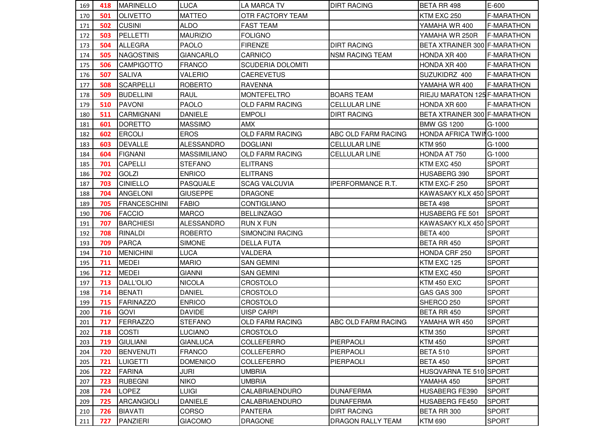| 169 | 418 | <b>MARINELLO</b>    | <b>LUCA</b>         | <b>LA MARCA TV</b>       | <b>DIRT RACING</b>       | <b>BETA RR 498</b>           | E-600             |
|-----|-----|---------------------|---------------------|--------------------------|--------------------------|------------------------------|-------------------|
| 170 | 501 | <b>OLIVETTO</b>     | <b>MATTEO</b>       | OTR FACTORY TEAM         |                          | KTM EXC 250                  | <b>F-MARATHON</b> |
| 171 | 502 | <b>CUSINI</b>       | <b>ALDO</b>         | <b>FAST TEAM</b>         |                          | YAMAHA WR 400                | <b>F-MARATHON</b> |
| 172 | 503 | <b>PELLETTI</b>     | <b>MAURIZIO</b>     | <b>FOLIGNO</b>           |                          | YAMAHA WR 250R               | <b>F-MARATHON</b> |
| 173 | 504 | <b>ALLEGRA</b>      | <b>PAOLO</b>        | <b>FIRENZE</b>           | <b>DIRT RACING</b>       | BETA XTRAINER 300 F-MARATHON |                   |
| 174 | 505 | <b>NAGOSTINIS</b>   | <b>GIANCARLO</b>    | CARNICO                  | <b>NSM RACING TEAM</b>   | HONDA XR 400                 | <b>F-MARATHON</b> |
| 175 | 506 | <b>CAMPIGOTTO</b>   | <b>FRANCO</b>       | <b>SCUDERIA DOLOMITI</b> |                          | HONDA XR 400                 | <b>F-MARATHON</b> |
| 176 | 507 | <b>SALIVA</b>       | <b>VALERIO</b>      | <b>CAEREVETUS</b>        |                          | SUZUKIDRZ 400                | <b>F-MARATHON</b> |
| 177 | 508 | <b>SCARPELLI</b>    | <b>ROBERTO</b>      | <b>RAVENNA</b>           |                          | YAMAHA WR 400                | <b>F-MARATHON</b> |
| 178 | 509 | <b>BUDELLINI</b>    | <b>RAUL</b>         | <b>MONTEFELTRO</b>       | <b>BOARS TEAM</b>        | RIEJU MARATON 125 F-MARATHON |                   |
| 179 | 510 | <b>PAVONI</b>       | <b>PAOLO</b>        | <b>OLD FARM RACING</b>   | <b>CELLULAR LINE</b>     | HONDA XR 600                 | <b>F-MARATHON</b> |
| 180 | 511 | <b>CARMIGNANI</b>   | <b>DANIELE</b>      | <b>EMPOLI</b>            | <b>DIRT RACING</b>       | BETA XTRAINER 300 F-MARATHON |                   |
| 181 | 601 | <b>DORETTO</b>      | <b>MASSIMO</b>      | AMX                      |                          | <b>BMW GS 1200</b>           | G-1000            |
| 182 | 602 | <b>ERCOLI</b>       | <b>EROS</b>         | <b>OLD FARM RACING</b>   | ABC OLD FARM RACING      | HONDA AFRICA TWING-1000      |                   |
| 183 | 603 | <b>DEVALLE</b>      | <b>ALESSANDRO</b>   | <b>DOGLIANI</b>          | <b>CELLULAR LINE</b>     | <b>KTM 950</b>               | G-1000            |
| 184 | 604 | <b>FIGNANI</b>      | <b>MASSIMILIANO</b> | <b>OLD FARM RACING</b>   | <b>CELLULAR LINE</b>     | HONDA AT 750                 | G-1000            |
| 185 | 701 | <b>CAPELLI</b>      | <b>STEFANO</b>      | <b>ELITRANS</b>          |                          | KTM EXC 450                  | <b>SPORT</b>      |
| 186 | 702 | <b>GOLZI</b>        | <b>ENRICO</b>       | <b>ELITRANS</b>          |                          | HUSABERG 390                 | <b>SPORT</b>      |
| 187 | 703 | <b>CINIELLO</b>     | <b>PASQUALE</b>     | <b>SCAG VALCUVIA</b>     | <b>IPERFORMANCE R.T.</b> | KTM EXC-F 250                | <b>SPORT</b>      |
| 188 | 704 | <b>ANGELONI</b>     | <b>GIUSEPPE</b>     | <b>DRAGONE</b>           |                          | KAWASAKY KLX 450 SPORT       |                   |
| 189 | 705 | <b>FRANCESCHINI</b> | <b>FABIO</b>        | <b>CONTIGLIANO</b>       |                          | <b>BETA 498</b>              | <b>SPORT</b>      |
| 190 | 706 | <b>FACCIO</b>       | <b>MARCO</b>        | <b>BELLINZAGO</b>        |                          | HUSABERG FE 501              | <b>SPORT</b>      |
| 191 | 707 | <b>BARCHIESI</b>    | <b>ALESSANDRO</b>   | <b>RUN X FUN</b>         |                          | KAWASAKY KLX 450 SPORT       |                   |
| 192 | 708 | <b>RINALDI</b>      | <b>ROBERTO</b>      | <b>SIMONCINI RACING</b>  |                          | <b>BETA 400</b>              | <b>SPORT</b>      |
| 193 | 709 | <b>PARCA</b>        | <b>SIMONE</b>       | <b>DELLA FUTA</b>        |                          | BETA RR 450                  | <b>SPORT</b>      |
| 194 | 710 | <b>MENICHINI</b>    | <b>LUCA</b>         | VALDERA                  |                          | HONDA CRF 250                | <b>SPORT</b>      |
| 195 | 711 | <b>MEDEI</b>        | <b>MARIO</b>        | <b>SAN GEMINI</b>        |                          | KTM EXC 125                  | <b>SPORT</b>      |
| 196 | 712 | <b>MEDEI</b>        | <b>GIANNI</b>       | <b>SAN GEMINI</b>        |                          | KTM EXC 450                  | <b>SPORT</b>      |
| 197 | 713 | <b>DALL'OLIO</b>    | <b>NICOLA</b>       | <b>CROSTOLO</b>          |                          | KTM 450 EXC                  | <b>SPORT</b>      |
| 198 | 714 | <b>BENATI</b>       | <b>DANIEL</b>       | <b>CROSTOLO</b>          |                          | GAS GAS 300                  | <b>SPORT</b>      |
| 199 | 715 | <b>FARINAZZO</b>    | <b>ENRICO</b>       | CROSTOLO                 |                          | SHERCO 250                   | <b>SPORT</b>      |
| 200 | 716 | <b>GOVI</b>         | <b>DAVIDE</b>       | <b>UISP CARPI</b>        |                          | BETA RR 450                  | <b>SPORT</b>      |
| 201 | 717 | <b>FERRAZZO</b>     | <b>STEFANO</b>      | <b>OLD FARM RACING</b>   | ABC OLD FARM RACING      | YAMAHA WR 450                | <b>SPORT</b>      |
| 202 | 718 | <b>COSTI</b>        | LUCIANO             | <b>CROSTOLO</b>          |                          | <b>KTM 350</b>               | <b>SPORT</b>      |
| 203 | 719 | <b>GIULIANI</b>     | <b>GIANLUCA</b>     | <b>COLLEFERRO</b>        | PIERPAOLI                | <b>KTM 450</b>               | <b>SPORT</b>      |
| 204 | 720 | <b>BENVENUTI</b>    | <b>FRANCO</b>       | COLLEFERRO               | PIERPAOLI                | <b>BETA 510</b>              | <b>SPORT</b>      |
| 205 | 721 | <b>LUIGETTI</b>     | <b>DOMENICO</b>     | <b>COLLEFERRO</b>        | PIERPAOLI                | <b>BETA 450</b>              | <b>SPORT</b>      |
| 206 | 722 | <b>FARINA</b>       | JURI                | <b>UMBRIA</b>            |                          | HUSQVARNA TE 510 SPORT       |                   |
| 207 | 723 | <b>RUBEGNI</b>      | <b>NIKO</b>         | <b>UMBRIA</b>            |                          | YAMAHA 450                   | <b>SPORT</b>      |
| 208 | 724 | <b>LOPEZ</b>        | <b>LUIGI</b>        | CALABRIAENDURO           | <b>DUNAFERMA</b>         | HUSABERG FE390               | <b>SPORT</b>      |
| 209 | 725 | <b>ARCANGIOLI</b>   | <b>DANIELE</b>      | CALABRIAENDURO           | <b>DUNAFERMA</b>         | HUSABERG FE450               | <b>SPORT</b>      |
| 210 | 726 | <b>BIAVATI</b>      | <b>CORSO</b>        | <b>PANTERA</b>           | <b>DIRT RACING</b>       | BETA RR 300                  | <b>SPORT</b>      |
| 211 | 727 | PANZIERI            | <b>GIACOMO</b>      | <b>DRAGONE</b>           | DRAGON RALLY TEAM        | <b>KTM 690</b>               | <b>SPORT</b>      |